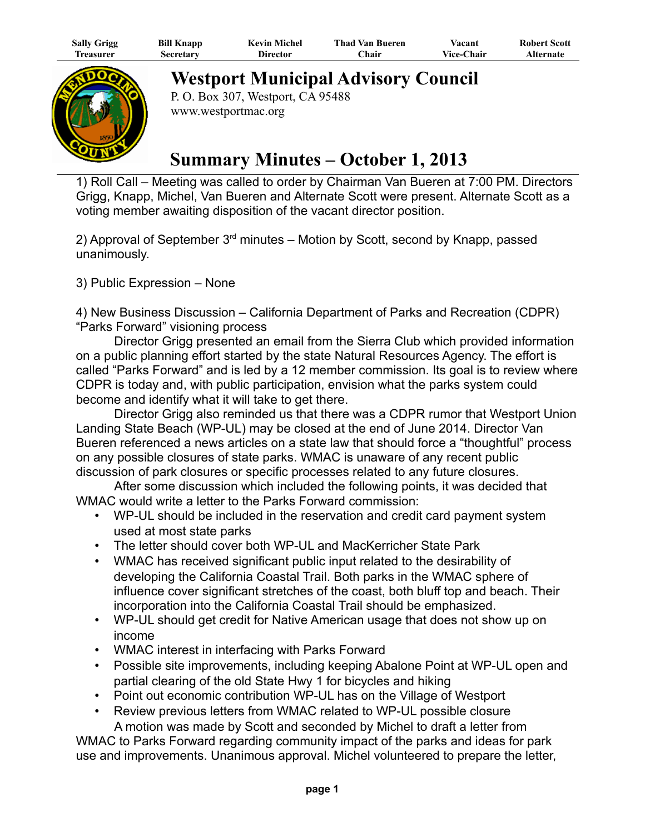| <b>Sally Grigg</b> | <b>Bill Knapp</b> | <b>Kevin Michel</b> | <b>Thad Van Bueren</b> | Vacant            | <b>Robert Scott</b> |
|--------------------|-------------------|---------------------|------------------------|-------------------|---------------------|
| l'reasurer         | Secretary         | Director            | ∑hair                  | <b>Vice-Chair</b> | Alternate           |



**Westport Municipal Advisory Council**

P. O. Box 307, Westport, CA 95488 www.westportmac.org

## **Summary Minutes – October 1, 2013**

1) Roll Call – Meeting was called to order by Chairman Van Bueren at 7:00 PM. Directors Grigg, Knapp, Michel, Van Bueren and Alternate Scott were present. Alternate Scott as a voting member awaiting disposition of the vacant director position.

2) Approval of September  $3<sup>rd</sup>$  minutes – Motion by Scott, second by Knapp, passed unanimously.

3) Public Expression – None

4) New Business Discussion – California Department of Parks and Recreation (CDPR) "Parks Forward" visioning process

Director Grigg presented an email from the Sierra Club which provided information on a public planning effort started by the state Natural Resources Agency. The effort is called "Parks Forward" and is led by a 12 member commission. Its goal is to review where CDPR is today and, with public participation, envision what the parks system could become and identify what it will take to get there.

Director Grigg also reminded us that there was a CDPR rumor that Westport Union Landing State Beach (WP-UL) may be closed at the end of June 2014. Director Van Bueren referenced a news articles on a state law that should force a "thoughtful" process on any possible closures of state parks. WMAC is unaware of any recent public discussion of park closures or specific processes related to any future closures.

After some discussion which included the following points, it was decided that WMAC would write a letter to the Parks Forward commission:

- WP-UL should be included in the reservation and credit card payment system used at most state parks
- The letter should cover both WP-UL and MacKerricher State Park
- WMAC has received significant public input related to the desirability of developing the California Coastal Trail. Both parks in the WMAC sphere of influence cover significant stretches of the coast, both bluff top and beach. Their incorporation into the California Coastal Trail should be emphasized.
- WP-UL should get credit for Native American usage that does not show up on income
- WMAC interest in interfacing with Parks Forward
- Possible site improvements, including keeping Abalone Point at WP-UL open and partial clearing of the old State Hwy 1 for bicycles and hiking
- Point out economic contribution WP-UL has on the Village of Westport
- Review previous letters from WMAC related to WP-UL possible closure A motion was made by Scott and seconded by Michel to draft a letter from

WMAC to Parks Forward regarding community impact of the parks and ideas for park use and improvements. Unanimous approval. Michel volunteered to prepare the letter,